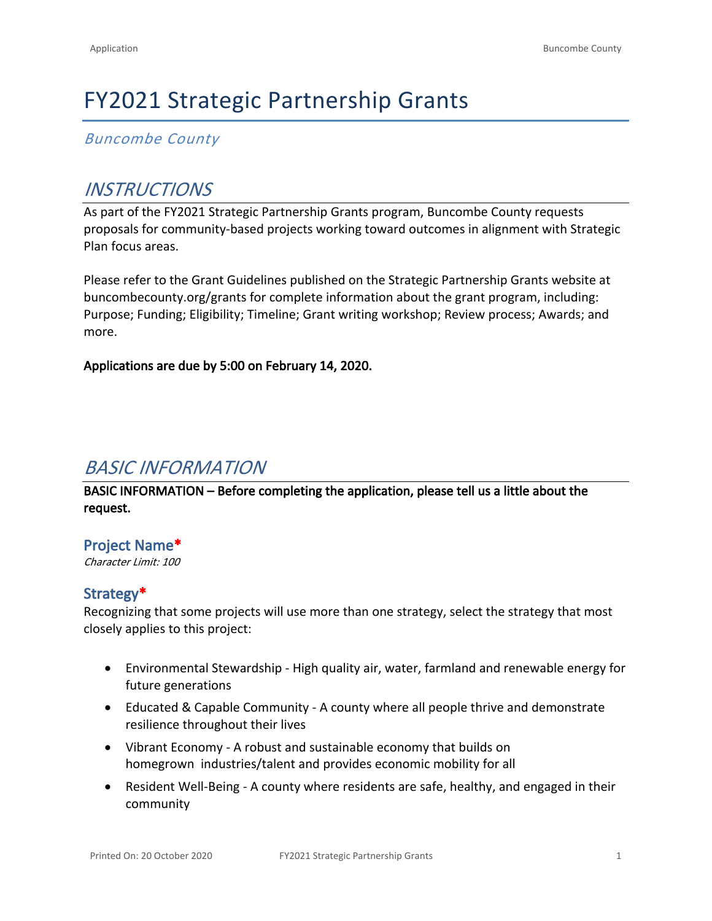# FY2021 Strategic Partnership Grants

*Buncombe County*

# *INSTRUCTIONS*

As part of the FY2021 Strategic Partnership Grants program, Buncombe County requests proposals for community-based projects working toward outcomes in alignment with Strategic Plan focus areas.

Please refer to the Grant Guidelines published on the Strategic Partnership Grants website at [buncombecounty.org/grants](http://www.buncombecounty.org/grants) for complete information about the grant program, including: Purpose; Funding; Eligibility; Timeline; Grant writing workshop; Review process; Awards; and more.

**Applications are due by 5:00 on February 14, 2020.**

# *BASIC INFORMATION*

**BASIC INFORMATION – Before completing the application, please tell us a little about the request.**

# **Project Name\***

*Character Limit: 100*

# **Strategy\***

Recognizing that some projects will use more than one strategy, select the strategy that most closely applies to this project:

- Environmental Stewardship High quality air, water, farmland and renewable energy for future generations
- Educated & Capable Community A county where all people thrive and demonstrate resilience throughout their lives
- Vibrant Economy A robust and sustainable economy that builds on homegrown industries/talent and provides economic mobility for all
- Resident Well-Being A county where residents are safe, healthy, and engaged in their community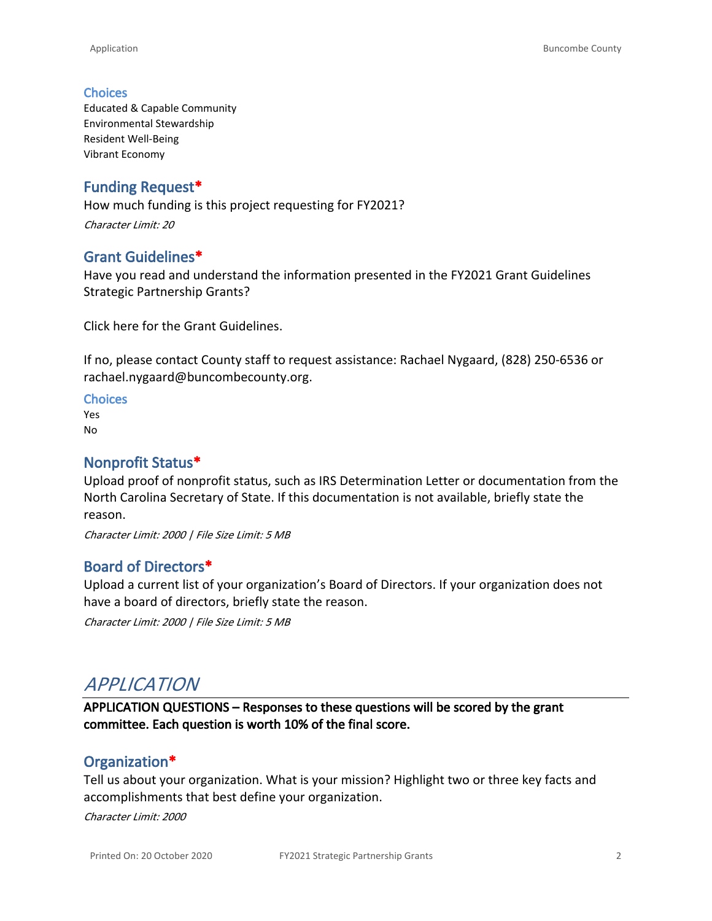#### **Choices**

Educated & Capable Community Environmental Stewardship Resident Well-Being Vibrant Economy

#### **Funding Request\***

How much funding is this project requesting for FY2021? *Character Limit: 20*

#### **Grant Guidelines\***

Have you read and understand the information presented in the FY2021 Grant Guidelines Strategic Partnership Grants?

[Click here for the Grant Guidelines.](https://www.buncombecounty.org/common/community-investment/grants/strategic-partnership/grant-guidelines.pdf)

If no, please contact County staff to request assistance: Rachael Nygaard, (828) 250-6536 or [rachael.nygaard@buncombecounty.org.](mailto:rachael.nygaard@buncombecounty.org)

**Choices** Yes No

#### **Nonprofit Status\***

Upload proof of nonprofit status, such as IRS Determination Letter or documentation from the North Carolina Secretary of State. If this documentation is not available, briefly state the reason.

*Character Limit: 2000 | File Size Limit: 5 MB*

#### **Board of Directors\***

Upload a current list of your organization's Board of Directors. If your organization does not have a board of directors, briefly state the reason.

*Character Limit: 2000 | File Size Limit: 5 MB*

# *APPLICATION*

**APPLICATION QUESTIONS – Responses to these questions will be scored by the grant committee. Each question is worth 10% of the final score.**

#### **Organization\***

Tell us about your organization. What is your mission? Highlight two or three key facts and accomplishments that best define your organization.

*Character Limit: 2000*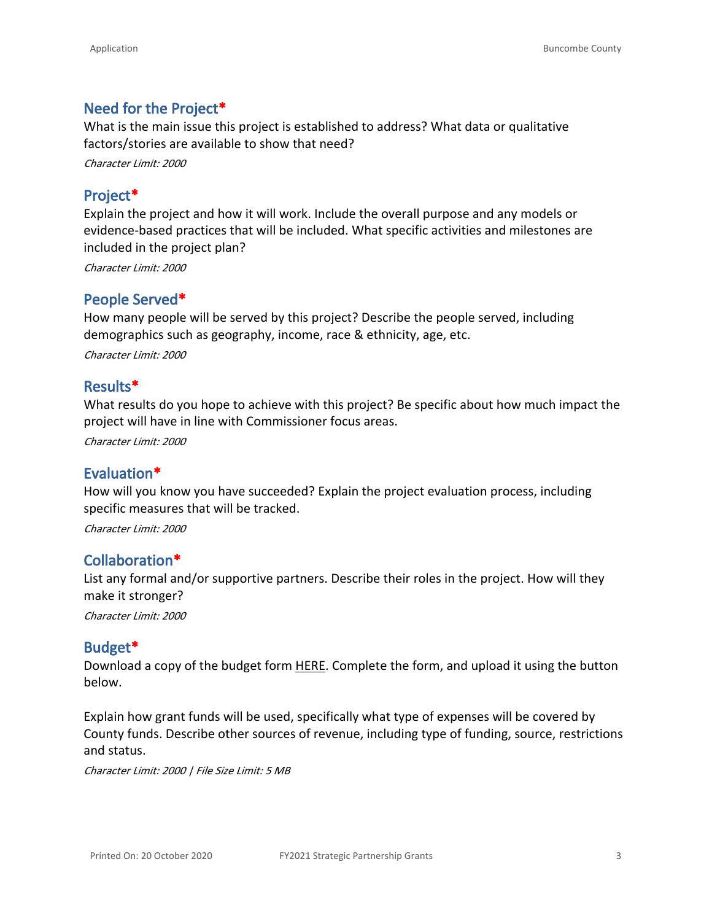#### **Need for the Project\***

What is the main issue this project is established to address? What data or qualitative factors/stories are available to show that need?

*Character Limit: 2000*

## **Project\***

Explain the project and how it will work. Include the overall purpose and any models or evidence-based practices that will be included. What specific activities and milestones are included in the project plan?

*Character Limit: 2000*

### **People Served\***

How many people will be served by this project? Describe the people served, including demographics such as geography, income, race & ethnicity, age, etc.

*Character Limit: 2000*

#### **Results\***

What results do you hope to achieve with this project? Be specific about how much impact the project will have in line with Commissioner focus areas.

*Character Limit: 2000*

#### **Evaluation\***

How will you know you have succeeded? Explain the project evaluation process, including specific measures that will be tracked.

*Character Limit: 2000*

#### **Collaboration\***

List any formal and/or supportive partners. Describe their roles in the project. How will they make it stronger?

*Character Limit: 2000*

#### **Budget\***

Download a copy of the budget form [HERE.](https://buncombecounty.org/common/community-investment/grants/early-childhood-education/FY21_SPGrant_Budget_Form.xlsx) Complete the form, and upload it using the button below.

Explain how grant funds will be used, specifically what type of expenses will be covered by County funds. Describe other sources of revenue, including type of funding, source, restrictions and status.

*Character Limit: 2000 | File Size Limit: 5 MB*